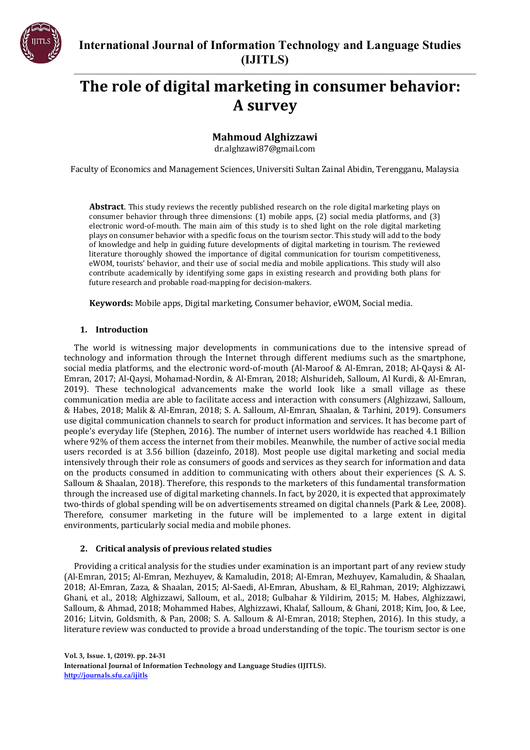

# **The role of digital marketing in consumer behavior: A survey**

**Mahmoud Alghizzawi**

[dr.alghzawi87@gmail.com](mailto:dr.alghzawi87@gmail.com)

Faculty of Economics and Management Sciences, Universiti Sultan Zainal Abidin, Terengganu, Malaysia

**Abstract**. This study reviews the recently published research on the role digital marketing plays on consumer behavior through three dimensions: (1) mobile apps, (2) social media platforms, and (3) electronic word-of-mouth. The main aim of this study is to shed light on the role digital marketing plays on consumer behavior with a specific focus on the tourism sector. This study will add to the body of knowledge and help in guiding future developments of digital marketing in tourism. The reviewed literature thoroughly showed the importance of digital communication for tourism competitiveness, eWOM, tourists' behavior, and their use of social media and mobile applications. This study will also contribute academically by identifying some gaps in existing research and providing both plans for future research and probable road-mapping for decision-makers.

**Keywords:** Mobile apps, Digital marketing, Consumer behavior, eWOM, Social media.

## **1. Introduction**

The world is witnessing major developments in communications due to the intensive spread of technology and information through the Internet through different mediums such as the smartphone, social media platforms, and the electronic word-of-mouth (Al-Maroof & Al-Emran, 2018; Al-Qaysi & Al-Emran, 2017; Al-Qaysi, Mohamad-Nordin, & Al-Emran, 2018; Alshurideh, Salloum, Al Kurdi, & Al-Emran, 2019). These technological advancements make the world look like a small village as these communication media are able to facilitate access and interaction with consumers (Alghizzawi, Salloum, & Habes, 2018; Malik & Al-Emran, 2018; S. A. Salloum, Al-Emran, Shaalan, & Tarhini, 2019). Consumers use digital communication channels to search for product information and services. It has become part of people's everyday life (Stephen, 2016). The number of internet users worldwide has reached 4.1 Billion where 92% of them access the internet from their mobiles. Meanwhile, the number of active social media users recorded is at 3.56 billion (dazeinfo, 2018). Most people use digital marketing and social media intensively through their role as consumers of goods and services as they search for information and data on the products consumed in addition to communicating with others about their experiences (S. A. S. Salloum & Shaalan, 2018). Therefore, this responds to the marketers of this fundamental transformation through the increased use of digital marketing channels. In fact, by 2020, it is expected that approximately two-thirds of global spending will be on advertisements streamed on digital channels (Park & Lee, 2008). Therefore, consumer marketing in the future will be implemented to a large extent in digital environments, particularly social media and mobile phones.

## **2. Critical analysis of previous related studies**

Providing a critical analysis for the studies under examination is an important part of any review study (Al-Emran, 2015; Al-Emran, Mezhuyev, & Kamaludin, 2018; Al-Emran, Mezhuyev, Kamaludin, & Shaalan, 2018; Al-Emran, Zaza, & Shaalan, 2015; Al-Saedi, Al-Emran, Abusham, & El\_Rahman, 2019; Alghizzawi, Ghani, et al., 2018; Alghizzawi, Salloum, et al., 2018; Gulbahar & Yildirim, 2015; M. Habes, Alghizzawi, Salloum, & Ahmad, 2018; Mohammed Habes, Alghizzawi, Khalaf, Salloum, & Ghani, 2018; Kim, Joo, & Lee, 2016; Litvin, Goldsmith, & Pan, 2008; S. A. Salloum & Al-Emran, 2018; Stephen, 2016). In this study, a literature review was conducted to provide a broad understanding of the topic. The tourism sector is one

**Vol. 3, Issue. 1, (2019). pp. 24-31 International Journal of Information Technology and Language Studies (IJITLS). <http://journals.sfu.ca/ijitls>**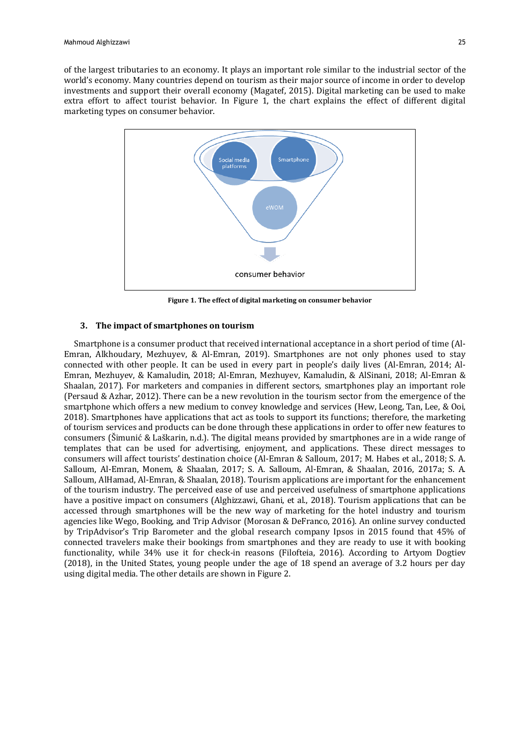of the largest tributaries to an economy. It plays an important role similar to the industrial sector of the world's economy. Many countries depend on tourism as their major source of income in order to develop investments and support their overall economy (Magatef, 2015). Digital marketing can be used to make extra effort to affect tourist behavior. In Figure 1, the chart explains the effect of different digital marketing types on consumer behavior.



**Figure 1. The effect of digital marketing on consumer behavior**

## **3. The impact of smartphones on tourism**

Smartphone is a consumer product that received international acceptance in a short period of time (Al-Emran, Alkhoudary, Mezhuyev, & Al-Emran, 2019). Smartphones are not only phones used to stay connected with other people. It can be used in every part in people's daily lives (Al-Emran, 2014; Al-Emran, Mezhuyev, & Kamaludin, 2018; Al-Emran, Mezhuyev, Kamaludin, & AlSinani, 2018; Al-Emran & Shaalan, 2017). For marketers and companies in different sectors, smartphones play an important role (Persaud & Azhar, 2012). There can be a new revolution in the tourism sector from the emergence of the smartphone which offers a new medium to convey knowledge and services (Hew, Leong, Tan, Lee, & Ooi, 2018). Smartphones have applications that act as tools to support its functions; therefore, the marketing of tourism services and products can be done through these applications in order to offer new features to consumers (Šimunić & Laškarin, n.d.). The digital means provided by smartphones are in a wide range of templates that can be used for advertising, enjoyment, and applications. These direct messages to consumers will affect tourists' destination choice (Al-Emran & Salloum, 2017; M. Habes et al., 2018; S. A. Salloum, Al-Emran, Monem, & Shaalan, 2017; S. A. Salloum, Al-Emran, & Shaalan, 2016, 2017a; S. A. Salloum, AlHamad, Al-Emran, & Shaalan, 2018). Tourism applications are important for the enhancement of the tourism industry. The perceived ease of use and perceived usefulness of smartphone applications have a positive impact on consumers (Alghizzawi, Ghani, et al., 2018). Tourism applications that can be accessed through smartphones will be the new way of marketing for the hotel industry and tourism agencies like Wego, Booking, and Trip Advisor (Morosan & DeFranco, 2016). An online survey conducted by TripAdvisor's Trip Barometer and the global research company Ipsos in 2015 found that 45% of connected travelers make their bookings from smartphones and they are ready to use it with booking functionality, while 34% use it for check-in reasons (Filofteia, 2016). According to Artyom Dogtiev (2018), in the United States, young people under the age of 18 spend an average of 3.2 hours per day using digital media. The other details are shown in Figure 2.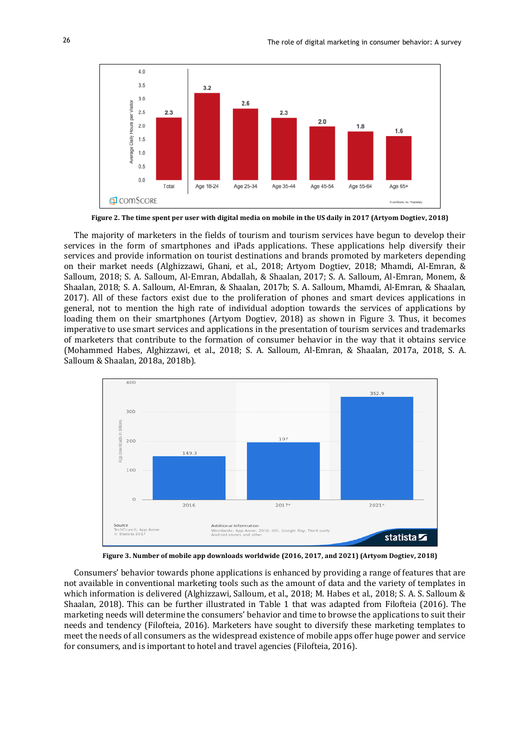

Figure 2. The time spent per user with digital media on mobile in the US daily in 2017 (Artyom Dogtiev, 2018)

The majority of marketers in the fields of tourism and tourism services have begun to develop their services in the form of smartphones and iPads applications. These applications help diversify their services and provide information on tourist destinations and brands promoted by marketers depending on their market needs (Alghizzawi, Ghani, et al., 2018; Artyom Dogtiev, 2018; Mhamdi, Al-Emran, & Salloum, 2018; S. A. Salloum, Al-Emran, Abdallah, & Shaalan, 2017; S. A. Salloum, Al-Emran, Monem, & Shaalan, 2018; S. A. Salloum, Al-Emran, & Shaalan, 2017b; S. A. Salloum, Mhamdi, Al-Emran, & Shaalan, 2017). All of these factors exist due to the proliferation of phones and smart devices applications in general, not to mention the high rate of individual adoption towards the services of applications by loading them on their smartphones (Artyom Dogtiev, 2018) as shown in Figure 3. Thus, it becomes imperative to use smart services and applications in the presentation of tourism services and trademarks of marketers that contribute to the formation of consumer behavior in the way that it obtains service (Mohammed Habes, Alghizzawi, et al., 2018; S. A. Salloum, Al-Emran, & Shaalan, 2017a, 2018, S. A. Salloum & Shaalan, 2018a, 2018b).



**Figure 3. Number of mobile app downloads worldwide (2016, 2017, and 2021) (Artyom Dogtiev, 2018)**

Consumers' behavior towards phone applications is enhanced by providing a range of features that are not available in conventional marketing tools such as the amount of data and the variety of templates in which information is delivered (Alghizzawi, Salloum, et al., 2018; M. Habes et al., 2018; S. A. S. Salloum & Shaalan, 2018). This can be further illustrated in Table 1 that was adapted from Filofteia (2016). The marketing needs will determine the consumers' behavior and time to browse the applications to suit their needs and tendency (Filofteia, 2016). Marketers have sought to diversify these marketing templates to meet the needs of all consumers as the widespread existence of mobile apps offer huge power and service for consumers, and is important to hotel and travel agencies (Filofteia, 2016).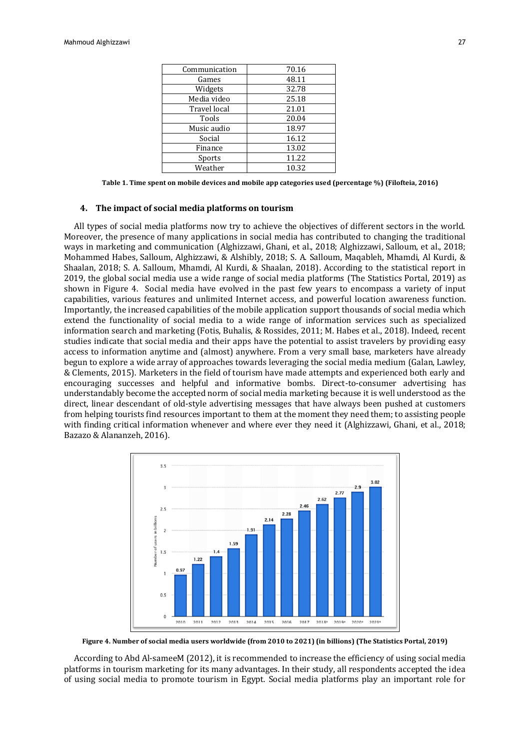| Communication | 70.16 |
|---------------|-------|
| Games         | 48.11 |
| Widgets       | 32.78 |
| Media video   | 25.18 |
| Travel local  | 21.01 |
| Tools         | 20.04 |
| Music audio   | 18.97 |
| Social        | 16.12 |
| Finance       | 13.02 |
| Sports        | 11.22 |
| Weather       | 10.32 |
|               |       |

**Table 1. Time spent on mobile devices and mobile app categories used (percentage %) (Filofteia, 2016)**

#### **4. The impact of social media platforms on tourism**

All types of social media platforms now try to achieve the objectives of different sectors in the world. Moreover, the presence of many applications in social media has contributed to changing the traditional ways in marketing and communication (Alghizzawi, Ghani, et al., 2018; Alghizzawi, Salloum, et al., 2018; Mohammed Habes, Salloum, Alghizzawi, & Alshibly, 2018; S. A. Salloum, Maqableh, Mhamdi, Al Kurdi, & Shaalan, 2018; S. A. Salloum, Mhamdi, Al Kurdi, & Shaalan, 2018). According to the statistical report in 2019, the global social media use a wide range of social media platforms (The Statistics Portal, 2019) as shown in Figure 4. Social media have evolved in the past few years to encompass a variety of input capabilities, various features and unlimited Internet access, and powerful location awareness function. Importantly, the increased capabilities of the mobile application support thousands of social media which extend the functionality of social media to a wide range of information services such as specialized information search and marketing (Fotis, Buhalis, & Rossides, 2011; M. Habes et al., 2018). Indeed, recent studies indicate that social media and their apps have the potential to assist travelers by providing easy access to information anytime and (almost) anywhere. From a very small base, marketers have already begun to explore a wide array of approaches towards leveraging the social media medium (Galan, Lawley, & Clements, 2015). Marketers in the field of tourism have made attempts and experienced both early and encouraging successes and helpful and informative bombs. Direct-to-consumer advertising has understandably become the accepted norm of social media marketing because it is well understood as the direct, linear descendant of old-style advertising messages that have always been pushed at customers from helping tourists find resources important to them at the moment they need them; to assisting people with finding critical information whenever and where ever they need it (Alghizzawi, Ghani, et al., 2018; Bazazo & Alananzeh, 2016).



**Figure 4. Number of social media users worldwide (from 2010 to 2021) (in billions) (The Statistics Portal, 2019)**

According to Abd Al-sameeM (2012), it is recommended to increase the efficiency of using social media platforms in tourism marketing for its many advantages. In their study, all respondents accepted the idea of using social media to promote tourism in Egypt. Social media platforms play an important role for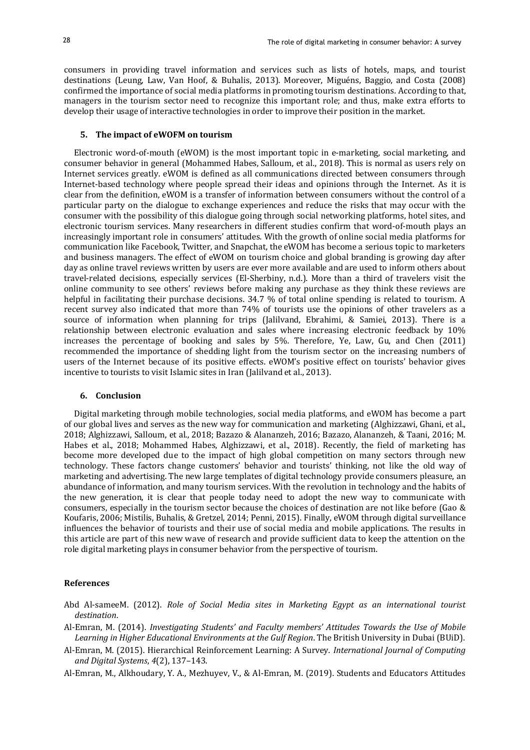consumers in providing travel information and services such as lists of hotels, maps, and tourist destinations (Leung, Law, Van Hoof, & Buhalis, 2013). Moreover, Miguéns, Baggio, and Costa (2008) confirmed the importance of social media platforms in promoting tourism destinations. According to that, managers in the tourism sector need to recognize this important role; and thus, make extra efforts to develop their usage of interactive technologies in order to improve their position in the market.

### **5. The impact of eWOFM on tourism**

Electronic word-of-mouth (eWOM) is the most important topic in e-marketing, social marketing, and consumer behavior in general (Mohammed Habes, Salloum, et al., 2018). This is normal as users rely on Internet services greatly. eWOM is defined as all communications directed between consumers through Internet-based technology where people spread their ideas and opinions through the Internet. As it is clear from the definition, eWOM is a transfer of information between consumers without the control of a particular party on the dialogue to exchange experiences and reduce the risks that may occur with the consumer with the possibility of this dialogue going through social networking platforms, hotel sites, and electronic tourism services. Many researchers in different studies confirm that word-of-mouth plays an increasingly important role in consumers' attitudes. With the growth of online social media platforms for communication like Facebook, Twitter, and Snapchat, the eWOM has become a serious topic to marketers and business managers. The effect of eWOM on tourism choice and global branding is growing day after day as online travel reviews written by users are ever more available and are used to inform others about travel-related decisions, especially services (El-Sherbiny, n.d.). More than a third of travelers visit the online community to see others' reviews before making any purchase as they think these reviews are helpful in facilitating their purchase decisions. 34.7 % of total online spending is related to tourism. A recent survey also indicated that more than 74% of tourists use the opinions of other travelers as a source of information when planning for trips (Jalilvand, Ebrahimi, & Samiei, 2013). There is a relationship between electronic evaluation and sales where increasing electronic feedback by 10% increases the percentage of booking and sales by 5%. Therefore, Ye, Law, Gu, and Chen (2011) recommended the importance of shedding light from the tourism sector on the increasing numbers of users of the Internet because of its positive effects. eWOM's positive effect on tourists' behavior gives incentive to tourists to visit Islamic sites in Iran (Jalilvand et al., 2013).

## **6. Conclusion**

Digital marketing through mobile technologies, social media platforms, and eWOM has become a part of our global lives and serves as the new way for communication and marketing (Alghizzawi, Ghani, et al., 2018; Alghizzawi, Salloum, et al., 2018; Bazazo & Alananzeh, 2016; Bazazo, Alananzeh, & Taani, 2016; M. Habes et al., 2018; Mohammed Habes, Alghizzawi, et al., 2018). Recently, the field of marketing has become more developed due to the impact of high global competition on many sectors through new technology. These factors change customers' behavior and tourists' thinking, not like the old way of marketing and advertising. The new large templates of digital technology provide consumers pleasure, an abundance of information, and many tourism services. With the revolution in technology and the habits of the new generation, it is clear that people today need to adopt the new way to communicate with consumers, especially in the tourism sector because the choices of destination are not like before (Gao & Koufaris, 2006; Mistilis, Buhalis, & Gretzel, 2014; Penni, 2015). Finally, eWOM through digital surveillance influences the behavior of tourists and their use of social media and mobile applications. The results in this article are part of this new wave of research and provide sufficient data to keep the attention on the role digital marketing plays in consumer behavior from the perspective of tourism.

## **References**

Abd Al-sameeM. (2012). *Role of Social Media sites in Marketing Egypt as an international tourist destination*.

- Al-Emran, M. (2014). *Investigating Students' and Faculty members' Attitudes Towards the Use of Mobile Learning in Higher Educational Environments at the Gulf Region*. The British University in Dubai (BUiD).
- Al-Emran, M. (2015). Hierarchical Reinforcement Learning: A Survey. *International Journal of Computing and Digital Systems*, *4*(2), 137–143.
- Al-Emran, M., Alkhoudary, Y. A., Mezhuyev, V., & Al-Emran, M. (2019). Students and Educators Attitudes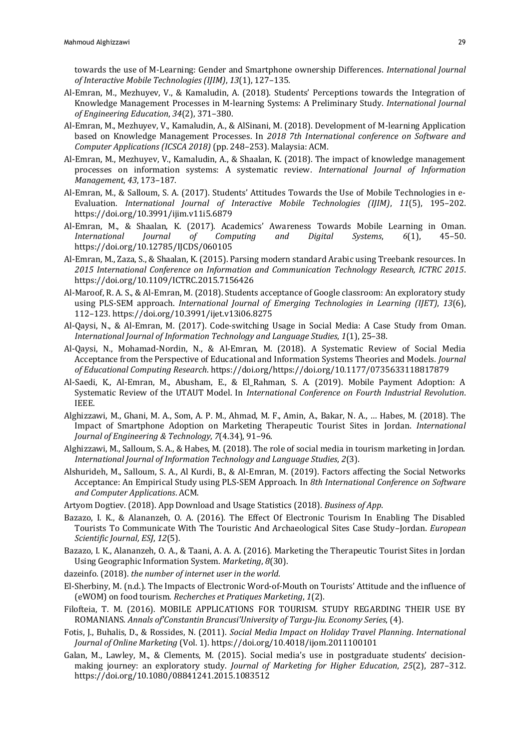towards the use of M-Learning: Gender and Smartphone ownership Differences. *International Journal of Interactive Mobile Technologies (IJIM)*, *13*(1), 127–135.

- Al-Emran, M., Mezhuyev, V., & Kamaludin, A. (2018). Students' Perceptions towards the Integration of Knowledge Management Processes in M-learning Systems: A Preliminary Study. *International Journal of Engineering Education*, *34*(2), 371–380.
- Al-Emran, M., Mezhuyev, V., Kamaludin, A., & AlSinani, M. (2018). Development of M-learning Application based on Knowledge Management Processes. In *2018 7th International conference on Software and Computer Applications (ICSCA 2018)* (pp. 248–253). Malaysia: ACM.
- Al-Emran, M., Mezhuyev, V., Kamaludin, A., & Shaalan, K. (2018). The impact of knowledge management processes on information systems: A systematic review. *International Journal of Information Management*, *43*, 173–187.
- Al-Emran, M., & Salloum, S. A. (2017). Students' Attitudes Towards the Use of Mobile Technologies in e-Evaluation. *International Journal of Interactive Mobile Technologies (IJIM)*, *11*(5), 195–202. https://doi.org/10.3991/ijim.v11i5.6879
- Al-Emran, M., & Shaalan, K. (2017). Academics' Awareness Towards Mobile Learning in Oman. *International Journal of Computing and Digital Systems*, *6*(1), 45–50. https://doi.org/10.12785/IJCDS/060105
- Al-Emran, M., Zaza, S., & Shaalan, K. (2015). Parsing modern standard Arabic using Treebank resources. In *2015 International Conference on Information and Communication Technology Research, ICTRC 2015*. https://doi.org/10.1109/ICTRC.2015.7156426
- Al-Maroof, R. A. S., & Al-Emran, M. (2018). Students acceptance of Google classroom: An exploratory study using PLS-SEM approach. *International Journal of Emerging Technologies in Learning (IJET)*, *13*(6), 112–123. https://doi.org/10.3991/ijet.v13i06.8275
- Al-Qaysi, N., & Al-Emran, M. (2017). Code-switching Usage in Social Media: A Case Study from Oman. *International Journal of Information Technology and Language Studies*, *1*(1), 25–38.
- Al-Qaysi, N., Mohamad-Nordin, N., & Al-Emran, M. (2018). A Systematic Review of Social Media Acceptance from the Perspective of Educational and Information Systems Theories and Models. *Journal of Educational Computing Research*. https://doi.org/https://doi.org/10.1177/0735633118817879
- Al-Saedi, K., Al-Emran, M., Abusham, E., & El\_Rahman, S. A. (2019). Mobile Payment Adoption: A Systematic Review of the UTAUT Model. In *International Conference on Fourth Industrial Revolution*. IEEE.
- Alghizzawi, M., Ghani, M. A., Som, A. P. M., Ahmad, M. F., Amin, A., Bakar, N. A., … Habes, M. (2018). The Impact of Smartphone Adoption on Marketing Therapeutic Tourist Sites in Jordan. *International Journal of Engineering & Technology*, *7*(4.34), 91–96.
- Alghizzawi, M., Salloum, S. A., & Habes, M. (2018). The role of social media in tourism marketing in Jordan. *International Journal of Information Technology and Language Studies*, *2*(3).
- Alshurideh, M., Salloum, S. A., Al Kurdi, B., & Al-Emran, M. (2019). Factors affecting the Social Networks Acceptance: An Empirical Study using PLS-SEM Approach. In *8th International Conference on Software and Computer Applications*. ACM.
- Artyom Dogtiev. (2018). App Download and Usage Statistics (2018). *Business of App*.
- Bazazo, I. K., & Alananzeh, O. A. (2016). The Effect Of Electronic Tourism In Enabling The Disabled Tourists To Communicate With The Touristic And Archaeological Sites Case Study–Jordan. *European Scientific Journal, ESJ*, *12*(5).
- Bazazo, I. K., Alananzeh, O. A., & Taani, A. A. A. (2016). Marketing the Therapeutic Tourist Sites in Jordan Using Geographic Information System. *Marketing*, *8*(30).
- dazeinfo. (2018). *the number of internet user in the world*.
- El-Sherbiny, M. (n.d.). The Impacts of Electronic Word-of-Mouth on Tourists' Attitude and the influence of (eWOM) on food tourism. *Recherches et Pratiques Marketing*, *1*(2).
- Filofteia, T. M. (2016). MOBILE APPLICATIONS FOR TOURISM. STUDY REGARDING THEIR USE BY ROMANIANS. *Annals of'Constantin Brancusi'University of Targu-Jiu. Economy Series*, (4).
- Fotis, J., Buhalis, D., & Rossides, N. (2011). *Social Media Impact on Holiday Travel Planning*. *International Journal of Online Marketing* (Vol. 1). https://doi.org/10.4018/ijom.2011100101
- Galan, M., Lawley, M., & Clements, M. (2015). Social media's use in postgraduate students' decisionmaking journey: an exploratory study. *Journal of Marketing for Higher Education*, *25*(2), 287–312. https://doi.org/10.1080/08841241.2015.1083512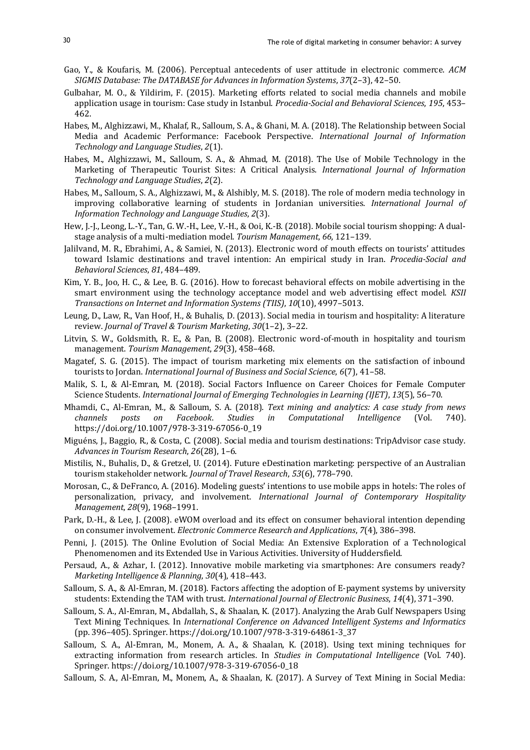- Gao, Y., & Koufaris, M. (2006). Perceptual antecedents of user attitude in electronic commerce. *ACM SIGMIS Database: The DATABASE for Advances in Information Systems*, *37*(2–3), 42–50.
- Gulbahar, M. O., & Yildirim, F. (2015). Marketing efforts related to social media channels and mobile application usage in tourism: Case study in Istanbul. *Procedia-Social and Behavioral Sciences*, *195*, 453– 462.
- Habes, M., Alghizzawi, M., Khalaf, R., Salloum, S. A., & Ghani, M. A. (2018). The Relationship between Social Media and Academic Performance: Facebook Perspective. *International Journal of Information Technology and Language Studies*, *2*(1).
- Habes, M., Alghizzawi, M., Salloum, S. A., & Ahmad, M. (2018). The Use of Mobile Technology in the Marketing of Therapeutic Tourist Sites: A Critical Analysis. *International Journal of Information Technology and Language Studies*, *2*(2).
- Habes, M., Salloum, S. A., Alghizzawi, M., & Alshibly, M. S. (2018). The role of modern media technology in improving collaborative learning of students in Jordanian universities. *International Journal of Information Technology and Language Studies*, *2*(3).
- Hew, J.-J., Leong, L.-Y., Tan, G. W.-H., Lee, V.-H., & Ooi, K.-B. (2018). Mobile social tourism shopping: A dualstage analysis of a multi-mediation model. *Tourism Management*, *66*, 121–139.
- Jalilvand, M. R., Ebrahimi, A., & Samiei, N. (2013). Electronic word of mouth effects on tourists' attitudes toward Islamic destinations and travel intention: An empirical study in Iran. *Procedia-Social and Behavioral Sciences*, *81*, 484–489.
- Kim, Y. B., Joo, H. C., & Lee, B. G. (2016). How to forecast behavioral effects on mobile advertising in the smart environment using the technology acceptance model and web advertising effect model. *KSII Transactions on Internet and Information Systems (TIIS)*, *10*(10), 4997–5013.
- Leung, D., Law, R., Van Hoof, H., & Buhalis, D. (2013). Social media in tourism and hospitality: A literature review. *Journal of Travel & Tourism Marketing*, *30*(1–2), 3–22.
- Litvin, S. W., Goldsmith, R. E., & Pan, B. (2008). Electronic word-of-mouth in hospitality and tourism management. *Tourism Management*, *29*(3), 458–468.
- Magatef, S. G. (2015). The impact of tourism marketing mix elements on the satisfaction of inbound tourists to Jordan. *International Journal of Business and Social Science*, *6*(7), 41–58.
- Malik, S. I., & Al-Emran, M. (2018). Social Factors Influence on Career Choices for Female Computer Science Students. *International Journal of Emerging Technologies in Learning (IJET)*, *13*(5), 56–70.
- Mhamdi, C., Al-Emran, M., & Salloum, S. A. (2018). *Text mining and analytics: A case study from news channels posts on Facebook*. *Studies in Computational Intelligence* (Vol. 740). https://doi.org/10.1007/978-3-319-67056-0\_19
- Miguéns, J., Baggio, R., & Costa, C. (2008). Social media and tourism destinations: TripAdvisor case study. *Advances in Tourism Research*, *26*(28), 1–6.
- Mistilis, N., Buhalis, D., & Gretzel, U. (2014). Future eDestination marketing: perspective of an Australian tourism stakeholder network. *Journal of Travel Research*, *53*(6), 778–790.
- Morosan, C., & DeFranco, A. (2016). Modeling guests' intentions to use mobile apps in hotels: The roles of personalization, privacy, and involvement. *International Journal of Contemporary Hospitality Management*, *28*(9), 1968–1991.
- Park, D.-H., & Lee, J. (2008). eWOM overload and its effect on consumer behavioral intention depending on consumer involvement. *Electronic Commerce Research and Applications*, *7*(4), 386–398.
- Penni, J. (2015). The Online Evolution of Social Media: An Extensive Exploration of a Technological Phenomenomen and its Extended Use in Various Activities. University of Huddersfield.
- Persaud, A., & Azhar, I. (2012). Innovative mobile marketing via smartphones: Are consumers ready? *Marketing Intelligence & Planning*, *30*(4), 418–443.
- Salloum, S. A., & Al-Emran, M. (2018). Factors affecting the adoption of E-payment systems by university students: Extending the TAM with trust. *International Journal of Electronic Business*, *14*(4), 371–390.
- Salloum, S. A., Al-Emran, M., Abdallah, S., & Shaalan, K. (2017). Analyzing the Arab Gulf Newspapers Using Text Mining Techniques. In *International Conference on Advanced Intelligent Systems and Informatics* (pp. 396–405). Springer. https://doi.org/10.1007/978-3-319-64861-3\_37
- Salloum, S. A., Al-Emran, M., Monem, A. A., & Shaalan, K. (2018). Using text mining techniques for extracting information from research articles. In *Studies in Computational Intelligence* (Vol. 740). Springer. https://doi.org/10.1007/978-3-319-67056-0\_18
- Salloum, S. A., Al-Emran, M., Monem, A., & Shaalan, K. (2017). A Survey of Text Mining in Social Media: